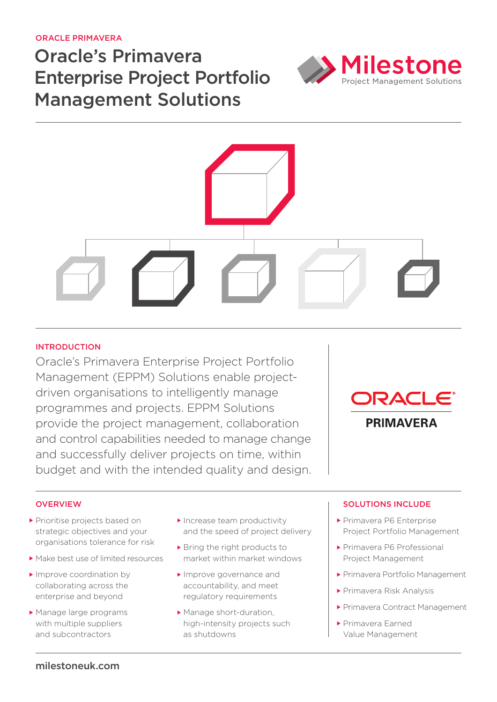Oracle Primavera

# Oracle's Primavera Enterprise Project Portfolio Management Solutions





# **INTRODUCTION**

Oracle's Primavera Enterprise Project Portfolio Management (EPPM) Solutions enable projectdriven organisations to intelligently manage programmes and projects. EPPM Solutions provide the project management, collaboration and control capabilities needed to manage change and successfully deliver projects on time, within budget and with the intended quality and design.



# **OVERVIEW**

- Prioritise projects based on strategic objectives and your organisations tolerance for risk
- Make best use of limited resources
- Improve coordination by collaborating across the enterprise and beyond
- Manage large programs with multiple suppliers and subcontractors
- Increase team productivity and the speed of project delivery
- ▶ Bring the right products to market within market windows
- **Improve governance and** accountability, and meet regulatory requirements
- Manage short-duration. high-intensity projects such as shutdowns

### solutions include

- ▶ Primavera P6 Enterprise Project Portfolio Management
- ▶ Primavera P6 Professional Project Management
- Primavera Portfolio Management
- Primavera Risk Analysis
- Primavera Contract Management
- Primavera Earned Value Management